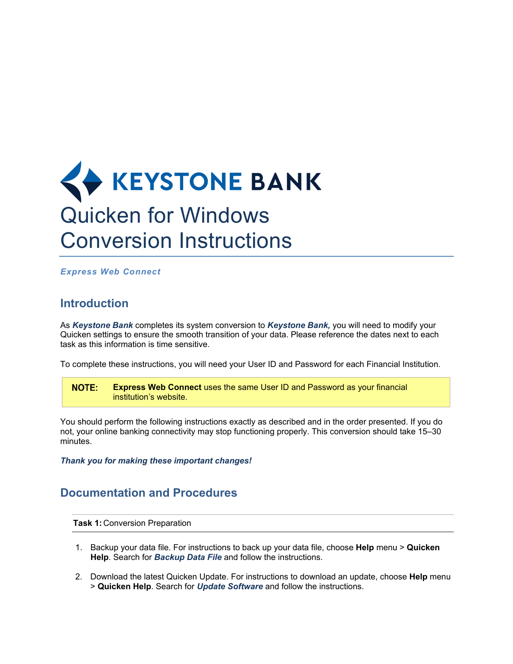

*Express Web Connect*

## **Introduction**

As *Keystone Bank* completes its system conversion to *Keystone Bank,* you will need to modify your Quicken settings to ensure the smooth transition of your data. Please reference the dates next to each task as this information is time sensitive.

To complete these instructions, you will need your User ID and Password for each Financial Institution.

**NOTE: Express Web Connect** uses the same User ID and Password as your financial institution's website.

You should perform the following instructions exactly as described and in the order presented. If you do not, your online banking connectivity may stop functioning properly. This conversion should take 15–30 minutes.

*Thank you for making these important changes!*

## **Documentation and Procedures**

**Task 1:** Conversion Preparation

- 1. Backup your data file. For instructions to back up your data file, choose **Help** menu > **Quicken Help**. Search for *Backup Data File* and follow the instructions.
- 2. Download the latest Quicken Update. For instructions to download an update, choose **Help** menu > **Quicken Help**. Search for *Update Software* and follow the instructions.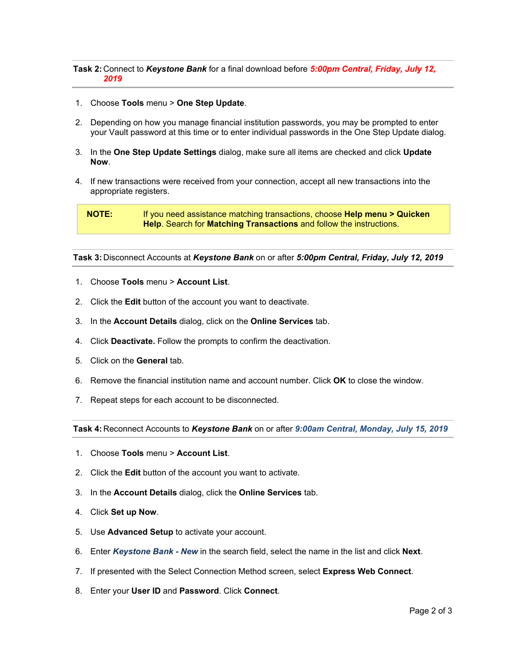**Task 2:** Connect to *Keystone Bank* for a final download before *5:00pm Central, Friday, July 12, 2019*

- 1. Choose **Tools** menu > **One Step Update**.
- 2. Depending on how you manage financial institution passwords, you may be prompted to enter your Vault password at this time or to enter individual passwords in the One Step Update dialog.
- 3. In the **One Step Update Settings** dialog, make sure all items are checked and click **Update Now**.
- 4. If new transactions were received from your connection, accept all new transactions into the appropriate registers.

**NOTE:** If you need assistance matching transactions, choose **Help menu > Quicken Help**. Search for **Matching Transactions** and follow the instructions.

**Task 3:** Disconnect Accounts at *Keystone Bank* on or after *5:00pm Central, Friday, July 12, 2019*

- 1. Choose **Tools** menu > **Account List**.
- 2. Click the **Edit** button of the account you want to deactivate.
- 3. In the **Account Details** dialog, click on the **Online Services** tab.
- 4. Click **Deactivate.** Follow the prompts to confirm the deactivation.
- 5. Click on the **General** tab.
- 6. Remove the financial institution name and account number. Click **OK** to close the window.
- 7. Repeat steps for each account to be disconnected.

**Task 4:** Reconnect Accounts to *Keystone Bank* on or after *9:00am Central, Monday, July 15, 2019*

- 1. Choose **Tools** menu > **Account List**.
- 2. Click the **Edit** button of the account you want to activate.
- 3. In the **Account Details** dialog, click the **Online Services** tab.
- 4. Click **Set up Now**.
- 5. Use **Advanced Setup** to activate your account.
- 6. Enter *Keystone Bank - New* in the search field, select the name in the list and click **Next**.
- 7. If presented with the Select Connection Method screen, select **Express Web Connect**.
- 8. Enter your **User ID** and **Password**. Click **Connect**.